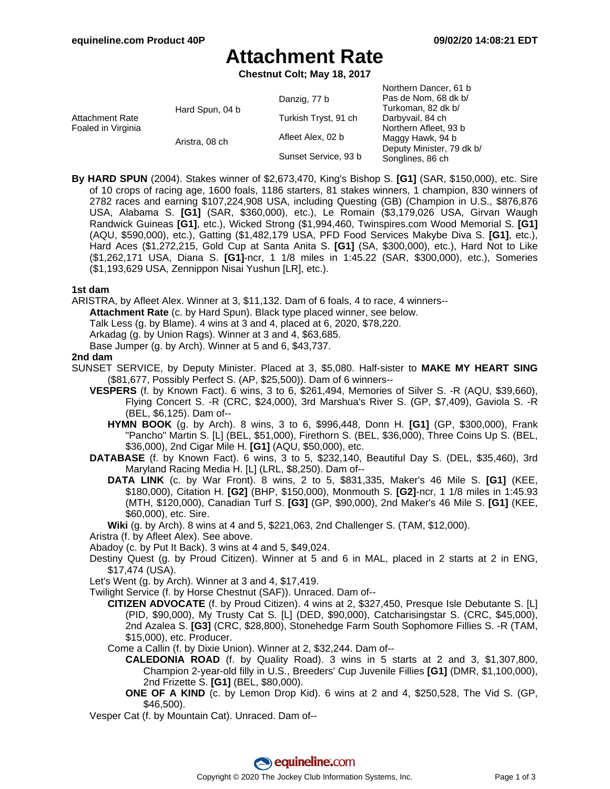## **Attachment Rate**

**Chestnut Colt; May 18, 2017**

| <b>Attachment Rate</b><br>Foaled in Virginia | Hard Spun, 04 b | Danzig, 77 b         | Northern Dancer, 61 b<br>Pas de Nom, 68 dk b/<br>Turkoman, 82 dk b/ |
|----------------------------------------------|-----------------|----------------------|---------------------------------------------------------------------|
|                                              |                 | Turkish Tryst, 91 ch | Darbyvail, 84 ch                                                    |
|                                              |                 | Afleet Alex, 02 b    | Northern Afleet, 93 b                                               |
|                                              | Aristra, 08 ch  |                      | Maggy Hawk, 94 b                                                    |
|                                              |                 | Sunset Service, 93 b | Deputy Minister, 79 dk b/<br>Songlines, 86 ch                       |

**By HARD SPUN** (2004). Stakes winner of \$2,673,470, King's Bishop S. **[G1]** (SAR, \$150,000), etc. Sire of 10 crops of racing age, 1600 foals, 1186 starters, 81 stakes winners, 1 champion, 830 winners of 2782 races and earning \$107,224,908 USA, including Questing (GB) (Champion in U.S., \$876,876 USA, Alabama S. **[G1]** (SAR, \$360,000), etc.), Le Romain (\$3,179,026 USA, Girvan Waugh Randwick Guineas **[G1]**, etc.), Wicked Strong (\$1,994,460, Twinspires.com Wood Memorial S. **[G1]** (AQU, \$590,000), etc.), Gatting (\$1,482,179 USA, PFD Food Services Makybe Diva S. **[G1]**, etc.), Hard Aces (\$1,272,215, Gold Cup at Santa Anita S. **[G1]** (SA, \$300,000), etc.), Hard Not to Like (\$1,262,171 USA, Diana S. **[G1]**-ncr, 1 1/8 miles in 1:45.22 (SAR, \$300,000), etc.), Someries (\$1,193,629 USA, Zennippon Nisai Yushun [LR], etc.).

#### **1st dam**

ARISTRA, by Afleet Alex. Winner at 3, \$11,132. Dam of 6 foals, 4 to race, 4 winners--

**Attachment Rate** (c. by Hard Spun). Black type placed winner, see below.

Talk Less (g. by Blame). 4 wins at 3 and 4, placed at 6, 2020, \$78,220.

Arkadag (g. by Union Rags). Winner at 3 and 4, \$63,685.

Base Jumper (g. by Arch). Winner at 5 and 6, \$43,737.

#### **2nd dam**

- SUNSET SERVICE, by Deputy Minister. Placed at 3, \$5,080. Half-sister to **MAKE MY HEART SING** (\$81,677, Possibly Perfect S. (AP, \$25,500)). Dam of 6 winners--
	- **VESPERS** (f. by Known Fact). 6 wins, 3 to 6, \$261,494, Memories of Silver S. -R (AQU, \$39,660), Flying Concert S. -R (CRC, \$24,000), 3rd Marshua's River S. (GP, \$7,409), Gaviola S. -R (BEL, \$6,125). Dam of--
		- **HYMN BOOK** (g. by Arch). 8 wins, 3 to 6, \$996,448, Donn H. **[G1]** (GP, \$300,000), Frank "Pancho" Martin S. [L] (BEL, \$51,000), Firethorn S. (BEL, \$36,000), Three Coins Up S. (BEL, \$36,000), 2nd Cigar Mile H. **[G1]** (AQU, \$50,000), etc.
	- **DATABASE** (f. by Known Fact). 6 wins, 3 to 5, \$232,140, Beautiful Day S. (DEL, \$35,460), 3rd Maryland Racing Media H. [L] (LRL, \$8,250). Dam of--
		- **DATA LINK** (c. by War Front). 8 wins, 2 to 5, \$831,335, Maker's 46 Mile S. **[G1]** (KEE, \$180,000), Citation H. **[G2]** (BHP, \$150,000), Monmouth S. **[G2]**-ncr, 1 1/8 miles in 1:45.93 (MTH, \$120,000), Canadian Turf S. **[G3]** (GP, \$90,000), 2nd Maker's 46 Mile S. **[G1]** (KEE, \$60,000), etc. Sire.

**Wiki** (g. by Arch). 8 wins at 4 and 5, \$221,063, 2nd Challenger S. (TAM, \$12,000).

Aristra (f. by Afleet Alex). See above.

Abadoy (c. by Put It Back). 3 wins at 4 and 5, \$49,024.

Destiny Quest (g. by Proud Citizen). Winner at 5 and 6 in MAL, placed in 2 starts at 2 in ENG, \$17,474 (USA).

Let's Went (g. by Arch). Winner at 3 and 4, \$17,419.

Twilight Service (f. by Horse Chestnut (SAF)). Unraced. Dam of--

**CITIZEN ADVOCATE** (f. by Proud Citizen). 4 wins at 2, \$327,450, Presque Isle Debutante S. [L] (PID, \$90,000), My Trusty Cat S. [L] (DED, \$90,000), Catcharisingstar S. (CRC, \$45,000), 2nd Azalea S. **[G3]** (CRC, \$28,800), Stonehedge Farm South Sophomore Fillies S. -R (TAM, \$15,000), etc. Producer.

- Come a Callin (f. by Dixie Union). Winner at 2, \$32,244. Dam of--
	- **CALEDONIA ROAD** (f. by Quality Road). 3 wins in 5 starts at 2 and 3, \$1,307,800, Champion 2-year-old filly in U.S., Breeders' Cup Juvenile Fillies **[G1]** (DMR, \$1,100,000), 2nd Frizette S. **[G1]** (BEL, \$80,000).
	- **ONE OF A KIND** (c. by Lemon Drop Kid). 6 wins at 2 and 4, \$250,528, The Vid S. (GP, \$46,500).

Vesper Cat (f. by Mountain Cat). Unraced. Dam of--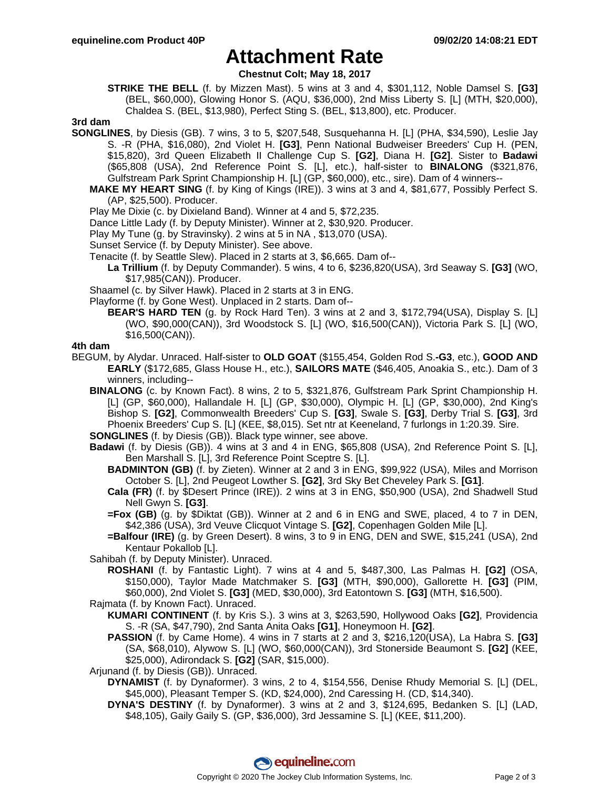# **Attachment Rate**

**Chestnut Colt; May 18, 2017**

**STRIKE THE BELL** (f. by Mizzen Mast). 5 wins at 3 and 4, \$301,112, Noble Damsel S. **[G3]** (BEL, \$60,000), Glowing Honor S. (AQU, \$36,000), 2nd Miss Liberty S. [L] (MTH, \$20,000), Chaldea S. (BEL, \$13,980), Perfect Sting S. (BEL, \$13,800), etc. Producer.

#### **3rd dam**

- **SONGLINES**, by Diesis (GB). 7 wins, 3 to 5, \$207,548, Susquehanna H. [L] (PHA, \$34,590), Leslie Jay S. -R (PHA, \$16,080), 2nd Violet H. **[G3]**, Penn National Budweiser Breeders' Cup H. (PEN, \$15,820), 3rd Queen Elizabeth II Challenge Cup S. **[G2]**, Diana H. **[G2]**. Sister to **Badawi** (\$65,808 (USA), 2nd Reference Point S. [L], etc.), half-sister to **BINALONG** (\$321,876, Gulfstream Park Sprint Championship H. [L] (GP, \$60,000), etc., sire). Dam of 4 winners--
	- **MAKE MY HEART SING** (f. by King of Kings (IRE)). 3 wins at 3 and 4, \$81,677, Possibly Perfect S. (AP, \$25,500). Producer.
	- Play Me Dixie (c. by Dixieland Band). Winner at 4 and 5, \$72,235.
	- Dance Little Lady (f. by Deputy Minister). Winner at 2, \$30,920. Producer.
	- Play My Tune (g. by Stravinsky). 2 wins at 5 in NA , \$13,070 (USA).
	- Sunset Service (f. by Deputy Minister). See above.
	- Tenacite (f. by Seattle Slew). Placed in 2 starts at 3, \$6,665. Dam of--
		- **La Trillium** (f. by Deputy Commander). 5 wins, 4 to 6, \$236,820(USA), 3rd Seaway S. **[G3]** (WO, \$17,985(CAN)). Producer.
	- Shaamel (c. by Silver Hawk). Placed in 2 starts at 3 in ENG.
	- Playforme (f. by Gone West). Unplaced in 2 starts. Dam of--
		- **BEAR'S HARD TEN** (g. by Rock Hard Ten). 3 wins at 2 and 3, \$172,794(USA), Display S. [L] (WO, \$90,000(CAN)), 3rd Woodstock S. [L] (WO, \$16,500(CAN)), Victoria Park S. [L] (WO, \$16,500(CAN)).

### **4th dam**

- BEGUM, by Alydar. Unraced. Half-sister to **OLD GOAT** (\$155,454, Golden Rod S.**-G3**, etc.), **GOOD AND EARLY** (\$172,685, Glass House H., etc.), **SAILORS MATE** (\$46,405, Anoakia S., etc.). Dam of 3 winners, including--
	- **BINALONG** (c. by Known Fact). 8 wins, 2 to 5, \$321,876, Gulfstream Park Sprint Championship H. [L] (GP, \$60,000), Hallandale H. [L] (GP, \$30,000), Olympic H. [L] (GP, \$30,000), 2nd King's Bishop S. **[G2]**, Commonwealth Breeders' Cup S. **[G3]**, Swale S. **[G3]**, Derby Trial S. **[G3]**, 3rd Phoenix Breeders' Cup S. [L] (KEE, \$8,015). Set ntr at Keeneland, 7 furlongs in 1:20.39. Sire.
	- **SONGLINES** (f. by Diesis (GB)). Black type winner, see above.
	- **Badawi** (f. by Diesis (GB)). 4 wins at 3 and 4 in ENG, \$65,808 (USA), 2nd Reference Point S. [L], Ben Marshall S. [L], 3rd Reference Point Sceptre S. [L].
		- **BADMINTON (GB)** (f. by Zieten). Winner at 2 and 3 in ENG, \$99,922 (USA), Miles and Morrison October S. [L], 2nd Peugeot Lowther S. **[G2]**, 3rd Sky Bet Cheveley Park S. **[G1]**.
		- **Cala (FR)** (f. by \$Desert Prince (IRE)). 2 wins at 3 in ENG, \$50,900 (USA), 2nd Shadwell Stud Nell Gwyn S. **[G3]**.
		- **=Fox (GB)** (g. by \$Diktat (GB)). Winner at 2 and 6 in ENG and SWE, placed, 4 to 7 in DEN, \$42,386 (USA), 3rd Veuve Clicquot Vintage S. **[G2]**, Copenhagen Golden Mile [L].
		- **=Balfour (IRE)** (g. by Green Desert). 8 wins, 3 to 9 in ENG, DEN and SWE, \$15,241 (USA), 2nd Kentaur Pokallob [L].

Sahibah (f. by Deputy Minister). Unraced.

- **ROSHANI** (f. by Fantastic Light). 7 wins at 4 and 5, \$487,300, Las Palmas H. **[G2]** (OSA, \$150,000), Taylor Made Matchmaker S. **[G3]** (MTH, \$90,000), Gallorette H. **[G3]** (PIM, \$60,000), 2nd Violet S. **[G3]** (MED, \$30,000), 3rd Eatontown S. **[G3]** (MTH, \$16,500).
- Rajmata (f. by Known Fact). Unraced.
	- **KUMARI CONTINENT** (f. by Kris S.). 3 wins at 3, \$263,590, Hollywood Oaks **[G2]**, Providencia S. -R (SA, \$47,790), 2nd Santa Anita Oaks **[G1]**, Honeymoon H. **[G2]**.
	- **PASSION** (f. by Came Home). 4 wins in 7 starts at 2 and 3, \$216,120(USA), La Habra S. **[G3]** (SA, \$68,010), Alywow S. [L] (WO, \$60,000(CAN)), 3rd Stonerside Beaumont S. **[G2]** (KEE, \$25,000), Adirondack S. **[G2]** (SAR, \$15,000).
- Arjunand (f. by Diesis (GB)). Unraced.
	- **DYNAMIST** (f. by Dynaformer). 3 wins, 2 to 4, \$154,556, Denise Rhudy Memorial S. [L] (DEL, \$45,000), Pleasant Temper S. (KD, \$24,000), 2nd Caressing H. (CD, \$14,340).
	- **DYNA'S DESTINY** (f. by Dynaformer). 3 wins at 2 and 3, \$124,695, Bedanken S. [L] (LAD, \$48,105), Gaily Gaily S. (GP, \$36,000), 3rd Jessamine S. [L] (KEE, \$11,200).